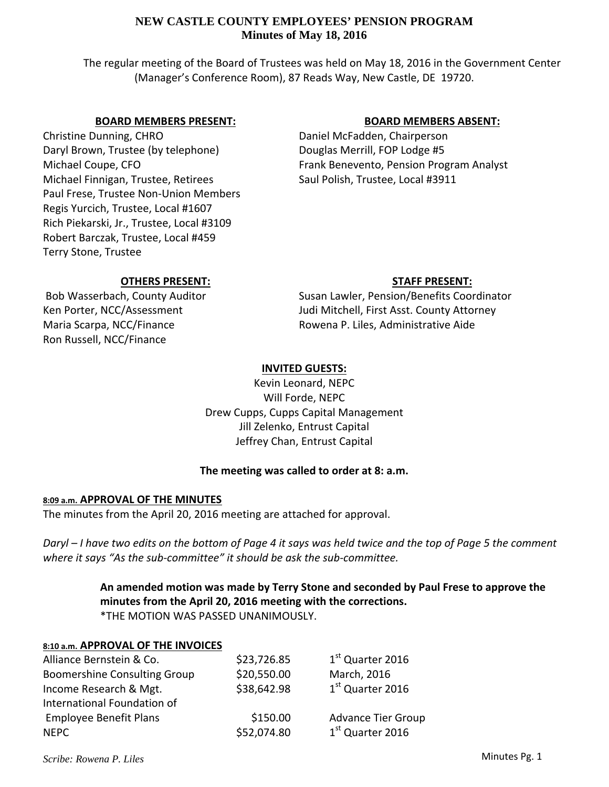# **NEW CASTLE COUNTY EMPLOYEES' PENSION PROGRAM Minutes of May 18, 2016**

The regular meeting of the Board of Trustees was held on May 18, 2016 in the Government Center (Manager's Conference Room), 87 Reads Way, New Castle, DE 19720.

## **BOARD MEMBERS PRESENT:**

Christine Dunning, CHRO Daryl Brown, Trustee (by telephone) Michael Coupe, CFO Michael Finnigan, Trustee, Retirees Paul Frese, Trustee Non‐Union Members Regis Yurcich, Trustee, Local #1607 Rich Piekarski, Jr., Trustee, Local #3109 Robert Barczak, Trustee, Local #459 Terry Stone, Trustee

## **BOARD MEMBERS ABSENT:**

Daniel McFadden, Chairperson Douglas Merrill, FOP Lodge #5 Frank Benevento, Pension Program Analyst Saul Polish, Trustee, Local #3911

# **OTHERS PRESENT:**

Bob Wasserbach, County Auditor Ken Porter, NCC/Assessment Maria Scarpa, NCC/Finance Ron Russell, NCC/Finance

# **STAFF PRESENT:**

Susan Lawler, Pension/Benefits Coordinator Judi Mitchell, First Asst. County Attorney Rowena P. Liles, Administrative Aide

# **INVITED GUESTS:**

Kevin Leonard, NEPC Will Forde, NEPC Drew Cupps, Cupps Capital Management Jill Zelenko, Entrust Capital Jeffrey Chan, Entrust Capital

## **The meeting was called to order at 8: a.m.**

## **8:09 a.m. APPROVAL OF THE MINUTES**

The minutes from the April 20, 2016 meeting are attached for approval.

Daryl – I have two edits on the bottom of Page 4 it says was held twice and the top of Page 5 the comment *where it says "As the sub‐committee" it should be ask the sub‐committee.* 

# **An amended motion was made by Terry Stone and seconded by Paul Frese to approve the minutes from the April 20, 2016 meeting with the corrections.** \*THE MOTION WAS PASSED UNANIMOUSLY.

## **8:10 a.m. APPROVAL OF THE INVOICES**

| Alliance Bernstein & Co.            | \$23,726.85 | 1 <sup>st</sup> Quarter 2016 |
|-------------------------------------|-------------|------------------------------|
| <b>Boomershine Consulting Group</b> | \$20,550.00 | March, 2016                  |
| Income Research & Mgt.              | \$38,642.98 | 1st Quarter 2016             |
| International Foundation of         |             |                              |
| <b>Employee Benefit Plans</b>       | \$150.00    | <b>Advance Tier Group</b>    |
| <b>NFPC</b>                         | \$52,074.80 | $1st$ Quarter 2016           |

*Scribe: Rowena P. Liles*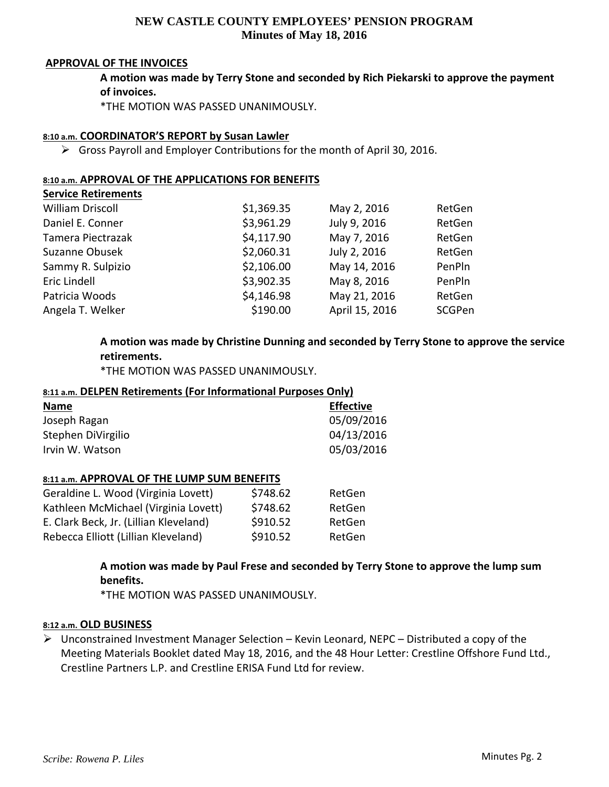# **NEW CASTLE COUNTY EMPLOYEES' PENSION PROGRAM Minutes of May 18, 2016**

### **APPROVAL OF THE INVOICES**

**A motion was made by Terry Stone and seconded by Rich Piekarski to approve the payment of invoices.**

\*THE MOTION WAS PASSED UNANIMOUSLY.

## **8:10 a.m. COORDINATOR'S REPORT by Susan Lawler**

 $\triangleright$  Gross Payroll and Employer Contributions for the month of April 30, 2016.

#### **8:10 a.m. APPROVAL OF THE APPLICATIONS FOR BENEFITS Service Retirements**

| Service Retirements     |            |                |        |
|-------------------------|------------|----------------|--------|
| <b>William Driscoll</b> | \$1,369.35 | May 2, 2016    | RetGen |
| Daniel E. Conner        | \$3,961.29 | July 9, 2016   | RetGen |
| Tamera Piectrazak       | \$4,117.90 | May 7, 2016    | RetGen |
| Suzanne Obusek          | \$2,060.31 | July 2, 2016   | RetGen |
| Sammy R. Sulpizio       | \$2,106.00 | May 14, 2016   | PenPln |
| Eric Lindell            | \$3,902.35 | May 8, 2016    | PenPln |
| Patricia Woods          | \$4,146.98 | May 21, 2016   | RetGen |
| Angela T. Welker        | \$190.00   | April 15, 2016 | SCGPen |
|                         |            |                |        |

**A motion was made by Christine Dunning and seconded by Terry Stone to approve the service retirements.**

\*THE MOTION WAS PASSED UNANIMOUSLY.

## **8:11 a.m. DELPEN Retirements (For Informational Purposes Only)**

| <b>Name</b>        | <b>Effective</b> |
|--------------------|------------------|
| Joseph Ragan       | 05/09/2016       |
| Stephen DiVirgilio | 04/13/2016       |
| Irvin W. Watson    | 05/03/2016       |

### **8:11 a.m. APPROVAL OF THE LUMP SUM BENEFITS**

| Geraldine L. Wood (Virginia Lovett)    | \$748.62 | RetGen |
|----------------------------------------|----------|--------|
| Kathleen McMichael (Virginia Lovett)   | \$748.62 | RetGen |
| E. Clark Beck, Jr. (Lillian Kleveland) | \$910.52 | RetGen |
| Rebecca Elliott (Lillian Kleveland)    | \$910.52 | RetGen |

**A motion was made by Paul Frese and seconded by Terry Stone to approve the lump sum benefits.**

\*THE MOTION WAS PASSED UNANIMOUSLY.

### **8:12 a.m. OLD BUSINESS**

 $\triangleright$  Unconstrained Investment Manager Selection – Kevin Leonard, NEPC – Distributed a copy of the Meeting Materials Booklet dated May 18, 2016, and the 48 Hour Letter: Crestline Offshore Fund Ltd., Crestline Partners L.P. and Crestline ERISA Fund Ltd for review.